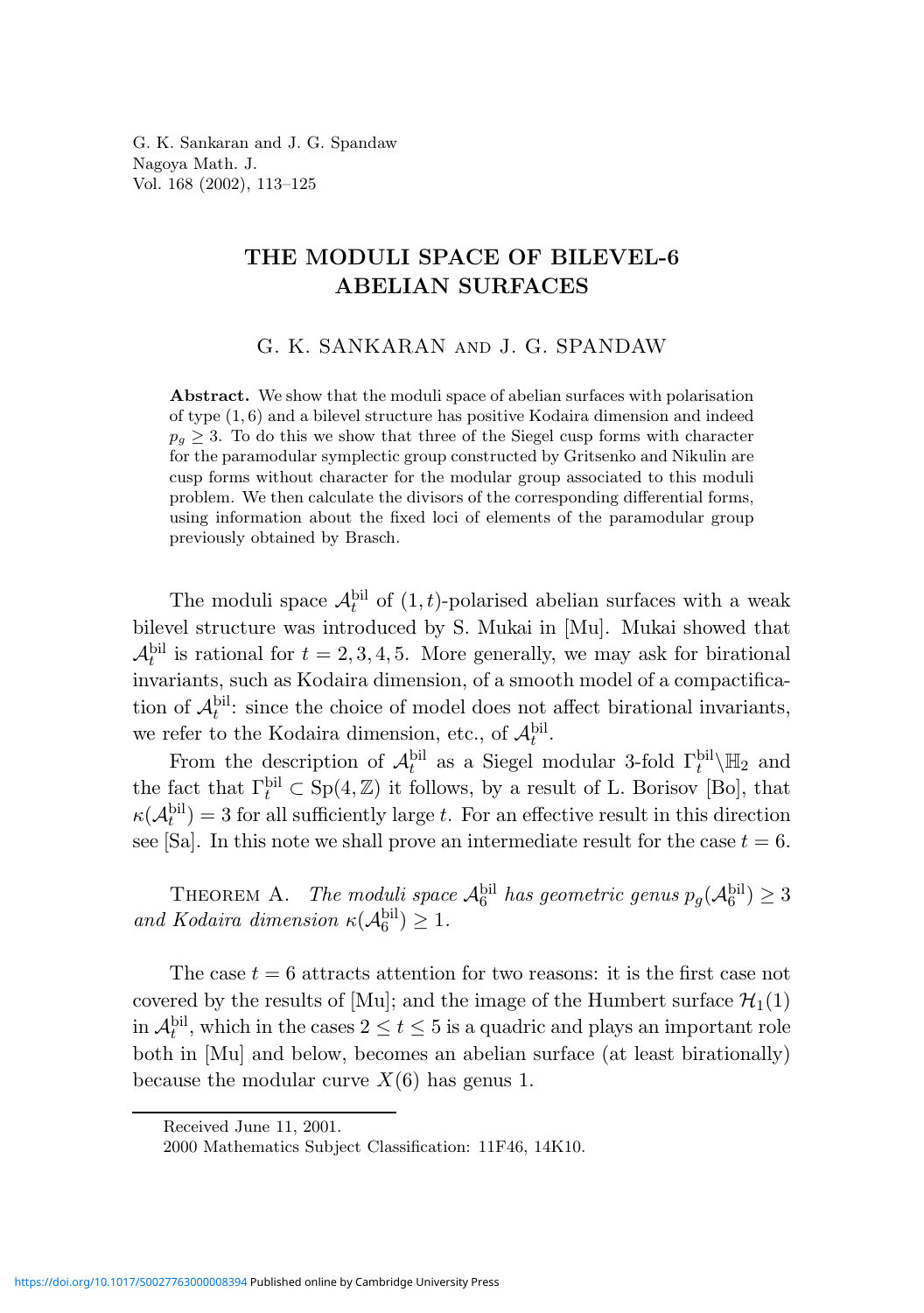G. K. Sankaran and J. G. Spandaw Nagoya Math. J. Vol. 168 (2002), 113–125

# THE MODULI SPACE OF BILEVEL-6 ABELIAN SURFACES

# G. K. SANKARAN and J. G. SPANDAW

Abstract. We show that the moduli space of abelian surfaces with polarisation of type (1, 6) and a bilevel structure has positive Kodaira dimension and indeed  $p_q \geq 3$ . To do this we show that three of the Siegel cusp forms with character for the paramodular symplectic group constructed by Gritsenko and Nikulin are cusp forms without character for the modular group associated to this moduli problem. We then calculate the divisors of the corresponding differential forms, using information about the fixed loci of elements of the paramodular group previously obtained by Brasch.

The moduli space  $\mathcal{A}_t^{\text{bil}}$  of  $(1,t)$ -polarised abelian surfaces with a weak bilevel structure was introduced by S. Mukai in [Mu]. Mukai showed that  $\mathcal{A}_t^{\text{bil}}$  is rational for  $t = 2, 3, 4, 5$ . More generally, we may ask for birational invariants, such as Kodaira dimension, of a smooth model of a compactification of  $\mathcal{A}_t^{\text{bil}}$ : since the choice of model does not affect birational invariants, we refer to the Kodaira dimension, etc., of  $\mathcal{A}_t^{\text{bil}}$ .

From the description of  $\mathcal{A}_t^{\text{bil}}$  as a Siegel modular 3-fold  $\Gamma_t^{\text{bil}}\backslash\mathbb{H}_2$  and the fact that  $\Gamma_t^{\text{bil}} \subset \text{Sp}(4,\mathbb{Z})$  it follows, by a result of L. Borisov [Bo], that  $\kappa(\mathcal{A}_t^{\text{bil}}) = 3$  for all sufficiently large t. For an effective result in this direction see [Sa]. In this note we shall prove an intermediate result for the case  $t = 6$ .

THEOREM A. The moduli space  $\mathcal{A}_6^{\text{bil}}$  has geometric genus  $p_g(\mathcal{A}_6^{\text{bil}}) \geq 3$ and Kodaira dimension  $\kappa(\mathcal{A}_6^{\text{bil}}) \geq 1$ .

The case  $t = 6$  attracts attention for two reasons: it is the first case not covered by the results of [Mu]; and the image of the Humbert surface  $\mathcal{H}_1(1)$ in  $\mathcal{A}_t^{\text{bil}}$ , which in the cases  $2 \le t \le 5$  is a quadric and plays an important role both in [Mu] and below, becomes an abelian surface (at least birationally) because the modular curve  $X(6)$  has genus 1.

Received June 11, 2001.

<sup>2000</sup> Mathematics Subject Classification: 11F46, 14K10.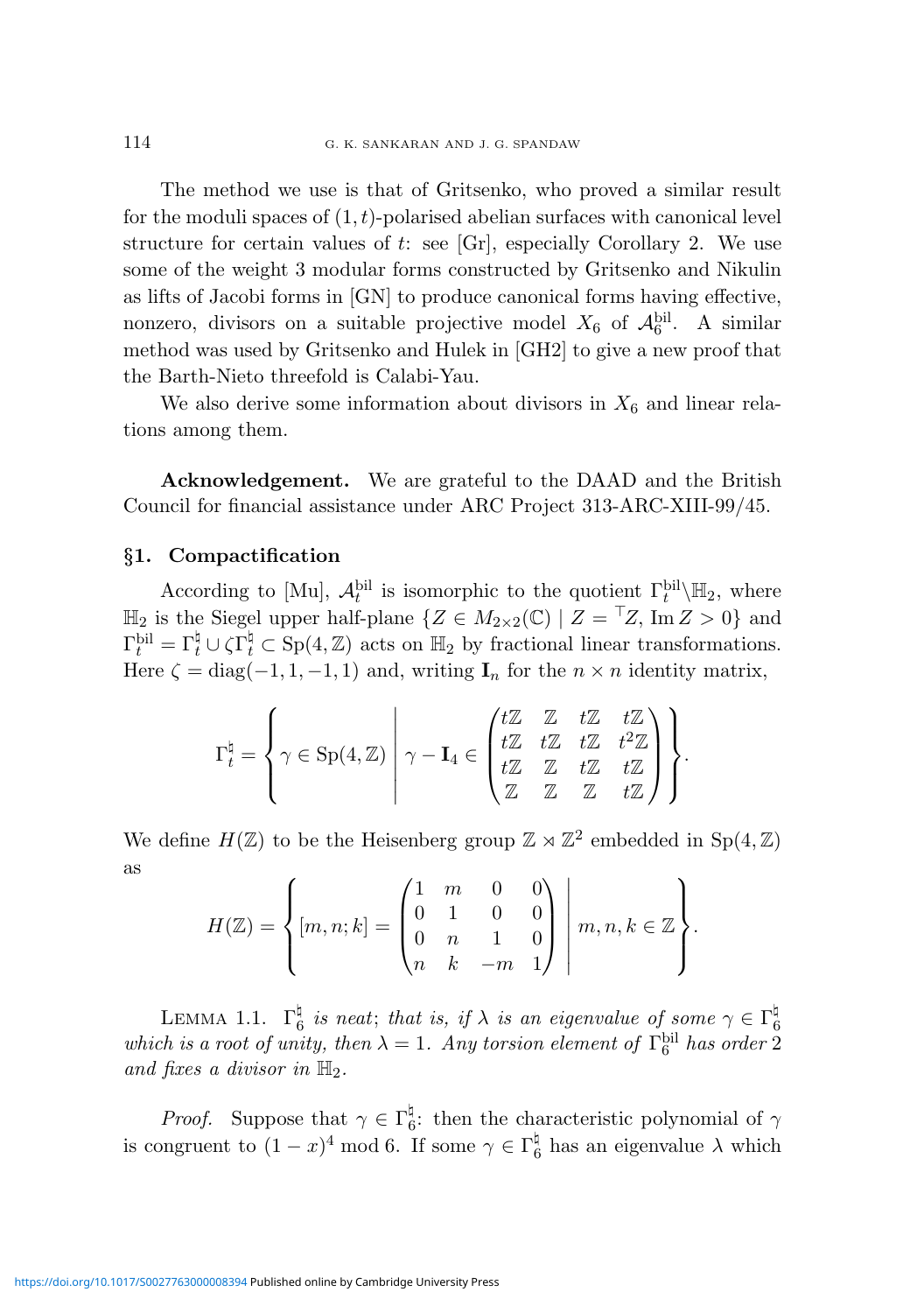The method we use is that of Gritsenko, who proved a similar result for the moduli spaces of  $(1,t)$ -polarised abelian surfaces with canonical level structure for certain values of t: see  $\left[\text{Gr}\right]$ , especially Corollary 2. We use some of the weight 3 modular forms constructed by Gritsenko and Nikulin as lifts of Jacobi forms in [GN] to produce canonical forms having effective, nonzero, divisors on a suitable projective model  $X_6$  of  $\mathcal{A}_6^{\text{bil}}$ . A similar method was used by Gritsenko and Hulek in [GH2] to give a new proof that the Barth-Nieto threefold is Calabi-Yau.

We also derive some information about divisors in  $X_6$  and linear relations among them.

Acknowledgement. We are grateful to the DAAD and the British Council for financial assistance under ARC Project 313-ARC-XIII-99/45.

# §1. Compactification

According to [Mu],  $\mathcal{A}_t^{\text{bil}}$  is isomorphic to the quotient  $\Gamma_t^{\text{bil}}\backslash\mathbb{H}_2$ , where  $\mathbb{H}_2$  is the Siegel upper half-plane  $\{Z \in M_{2 \times 2}(\mathbb{C}) \mid Z = \overline{Z}, \text{Im } Z > 0\}$  and  $\Gamma_t^{\text{bil}} = \Gamma_t^{\natural} \cup \zeta \Gamma_t^{\natural} \subset \text{Sp}(4,\mathbb{Z})$  acts on  $\mathbb{H}_2$  by fractional linear transformations. Here  $\zeta = \text{diag}(-1, 1, -1, 1)$  and, writing  $\mathbf{I}_n$  for the  $n \times n$  identity matrix,

$$
\Gamma_t^{\natural} = \left\{ \gamma \in \mathrm{Sp}(4,\mathbb{Z}) \; \middle| \; \gamma - \mathbf{I}_4 \in \begin{pmatrix} t\mathbb{Z} & \mathbb{Z} & t\mathbb{Z} & t\mathbb{Z} \\ t\mathbb{Z} & t\mathbb{Z} & t\mathbb{Z} & t^2\mathbb{Z} \\ t\mathbb{Z} & \mathbb{Z} & t\mathbb{Z} & t\mathbb{Z} \end{pmatrix} \right\}.
$$

We define  $H(\mathbb{Z})$  to be the Heisenberg group  $\mathbb{Z} \rtimes \mathbb{Z}^2$  embedded in  $\text{Sp}(4,\mathbb{Z})$ as

$$
H(\mathbb{Z}) = \left\{ [m, n; k] = \begin{pmatrix} 1 & m & 0 & 0 \\ 0 & 1 & 0 & 0 \\ 0 & n & 1 & 0 \\ n & k & -m & 1 \end{pmatrix} \middle| \ m, n, k \in \mathbb{Z} \right\}.
$$

LEMMA 1.1.  $\Gamma_6^{\natural}$  $\frac{a}{6}$  is neat; that is, if  $\lambda$  is an eigenvalue of some  $\gamma \in \Gamma_6^\natural$ LEMMA 1.1.  $\mathbf{1}_6$  is heat, that is, if  $\lambda$  is an eigenvalue of some  $\gamma \in \mathbf{1}_6$ <br>which is a root of unity, then  $\lambda = 1$ . Any torsion element of  $\Gamma_6^{\text{bil}}$  has order 2 and fixes a divisor in  $\mathbb{H}_2$ .

*Proof.* Suppose that  $\gamma \in \Gamma_6^{\natural}$ <sup>4</sup><sub>6</sub>: then the characteristic polynomial of  $\gamma$ is congruent to  $(1-x)^4 \mod 6$ . If some  $\gamma \in \Gamma_6^{\natural}$  $6<sup>4</sup>$  has an eigenvalue  $\lambda$  which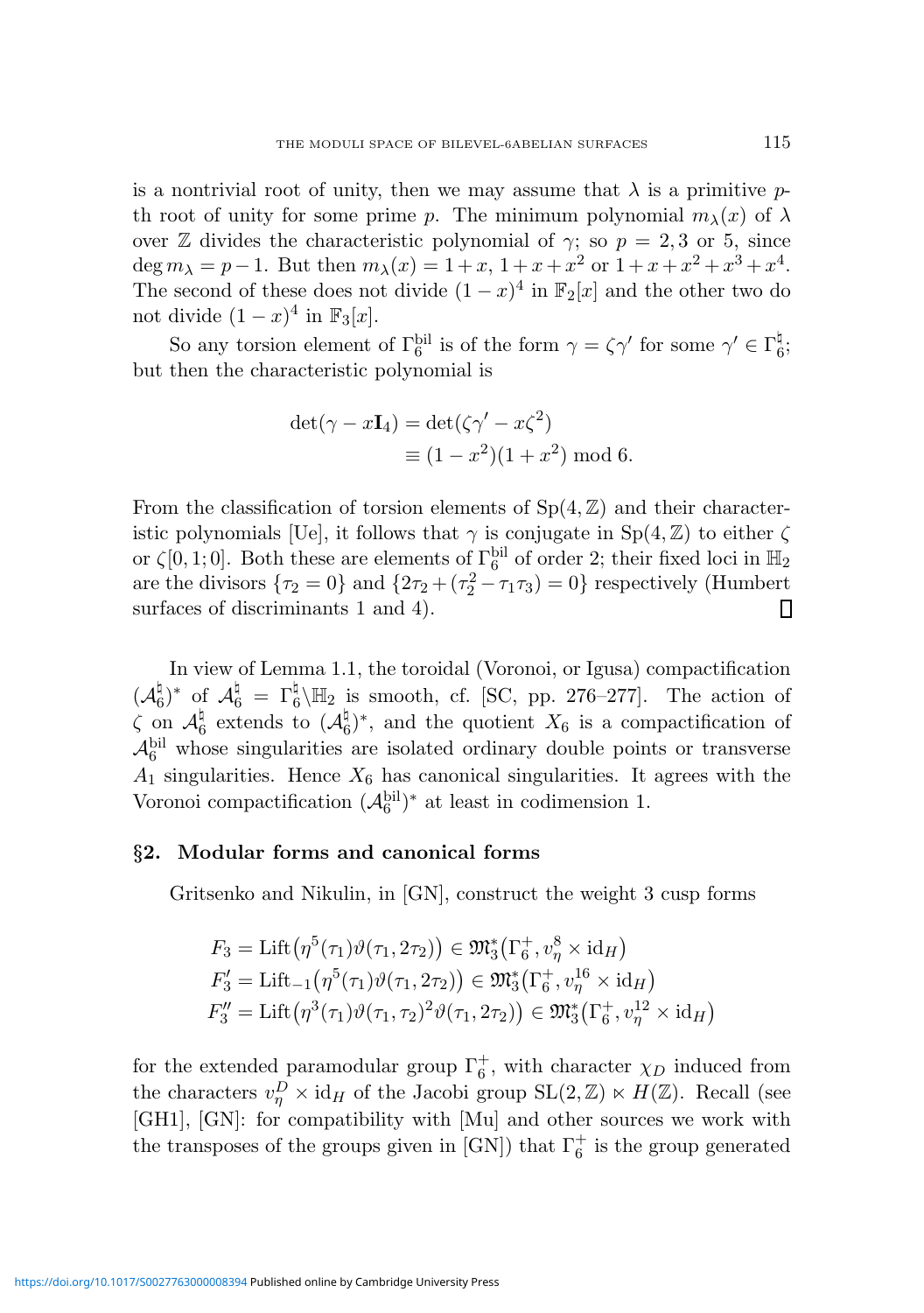is a nontrivial root of unity, then we may assume that  $\lambda$  is a primitive pth root of unity for some prime p. The minimum polynomial  $m_{\lambda}(x)$  of  $\lambda$ over Z divides the characteristic polynomial of  $\gamma$ ; so  $p = 2, 3$  or 5, since deg  $m_{\lambda} = p - 1$ . But then  $m_{\lambda}(x) = 1 + x$ ,  $1 + x + x^2$  or  $1 + x + x^2 + x^3 + x^4$ . The second of these does not divide  $(1-x)^4$  in  $\mathbb{F}_2[x]$  and the other two do not divide  $(1-x)^4$  in  $\mathbb{F}_3[x]$ .

So any torsion element of  $\Gamma_6^{\text{bil}}$  is of the form  $\gamma = \zeta \gamma'$  for some  $\gamma' \in \Gamma_6^{\text{h}}$ ս<br>6, but then the characteristic polynomial is

$$
det(\gamma - x\mathbf{I}_4) = det(\zeta\gamma' - x\zeta^2)
$$
  

$$
\equiv (1 - x^2)(1 + x^2) \mod 6.
$$

From the classification of torsion elements of  $Sp(4, \mathbb{Z})$  and their characteristic polynomials [Ue], it follows that  $\gamma$  is conjugate in Sp(4, Z) to either  $\zeta$ or  $\zeta[0,1;0]$ . Both these are elements of  $\Gamma_6^{\text{bil}}$  of order 2; their fixed loci in  $\mathbb{H}_2$ are the divisors  $\{\tau_2 = 0\}$  and  $\{2\tau_2 + (\tau_2^2 - \tau_1\tau_3) = 0\}$  respectively (Humbert surfaces of discriminants 1 and 4).

In view of Lemma 1.1, the toroidal (Voronoi, or Igusa) compactification  $({\cal A}^\natural_6$  $\mathcal{A}_6^\natural)^*$  of  $\mathcal{A}_6^\natural = \Gamma_6^\natural$  $\frac{1}{6}$  H<sub>2</sub> is smooth, cf. [SC, pp. 276–277]. The action of  $\zeta$  on  $\mathcal{A}_{\theta}^{\natural}$  $\frac{1}{6}$  extends to  $(\mathcal{A}_{6}^{\natural})$  $\frac{1}{6}$ <sup> $\frac{1}{6}$ </sup>, and the quotient  $X_6$  is a compactification of  $\mathcal{A}_6^{\text{bil}}$  whose singularities are isolated ordinary double points or transverse  $A_1$  singularities. Hence  $X_6$  has canonical singularities. It agrees with the Voronoi compactification  $(\mathcal{A}_6^{\text{bil}})^*$  at least in codimension 1.

#### §2. Modular forms and canonical forms

Gritsenko and Nikulin, in [GN], construct the weight 3 cusp forms

$$
F_3 = \text{Lift}(\eta^5(\tau_1)\theta(\tau_1, 2\tau_2)) \in \mathfrak{M}_3^*(\Gamma_6^+, v_\eta^8 \times id_H)
$$
  
\n
$$
F_3' = \text{Lift}_{-1}(\eta^5(\tau_1)\theta(\tau_1, 2\tau_2)) \in \mathfrak{M}_3^*(\Gamma_6^+, v_\eta^{16} \times id_H)
$$
  
\n
$$
F_3'' = \text{Lift}(\eta^3(\tau_1)\theta(\tau_1, \tau_2)^2 \theta(\tau_1, 2\tau_2)) \in \mathfrak{M}_3^*(\Gamma_6^+, v_\eta^{12} \times id_H)
$$

for the extended paramodular group  $\Gamma_6^+$ , with character  $\chi_D$  induced from the characters  $v_{\eta}^D \times id_H$  of the Jacobi group  $SL(2, \mathbb{Z}) \ltimes H(\mathbb{Z})$ . Recall (see [GH1], [GN]: for compatibility with [Mu] and other sources we work with the transposes of the groups given in [GN]) that  $\Gamma_6^+$  is the group generated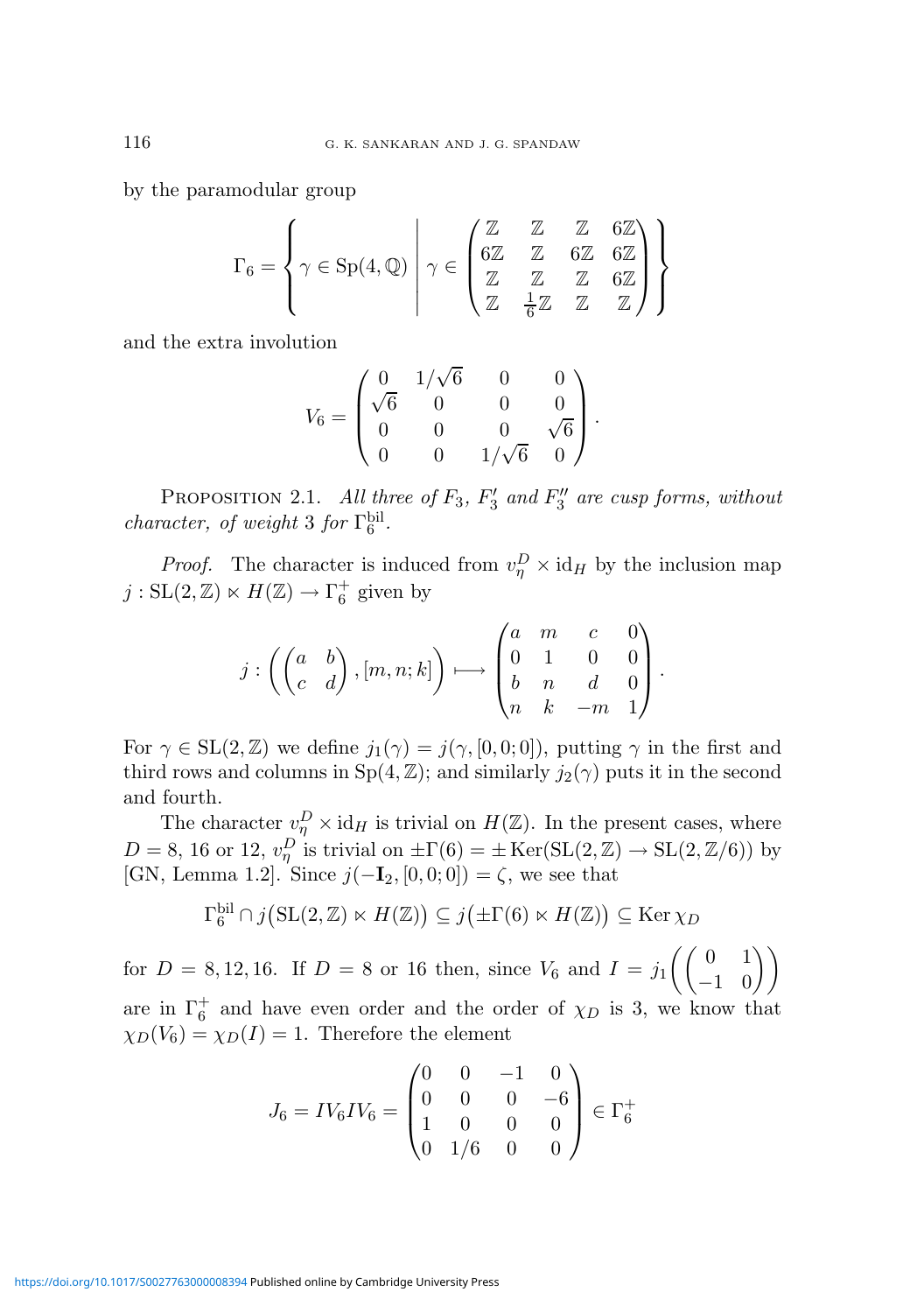by the paramodular group

$$
\Gamma_6 = \left\{ \gamma \in \mathrm{Sp}(4, \mathbb{Q}) \; \middle| \; \gamma \in \left( \begin{matrix} \mathbb{Z} & \mathbb{Z} & \mathbb{Z} & 6 \mathbb{Z} \\ 6 \mathbb{Z} & \mathbb{Z} & 6 \mathbb{Z} & 6 \mathbb{Z} \\ \mathbb{Z} & \mathbb{Z} & \mathbb{Z} & \mathbb{Z} \\ \mathbb{Z} & \frac{1}{6} \mathbb{Z} & \mathbb{Z} & \mathbb{Z} \end{matrix} \right) \right\}
$$

and the extra involution

$$
V_6 = \begin{pmatrix} 0 & 1/\sqrt{6} & 0 & 0 \\ \sqrt{6} & 0 & 0 & 0 \\ 0 & 0 & 0 & \sqrt{6} \\ 0 & 0 & 1/\sqrt{6} & 0 \end{pmatrix}.
$$

PROPOSITION 2.1. All three of  $F_3$ ,  $F_3'$  $E_3'$  and  $F_3''$  $\frac{3''}{3}$  are cusp forms, without character, of weight 3 for  $\Gamma_6^{\text{bil}}$ .

*Proof.* The character is induced from  $v_{\eta}^D \times id_H$  by the inclusion map  $j: SL(2, \mathbb{Z}) \ltimes H(\mathbb{Z}) \to \Gamma_6^+$  given by

$$
j: \left( \begin{pmatrix} a & b \\ c & d \end{pmatrix}, [m, n; k] \right) \longmapsto \begin{pmatrix} a & m & c & 0 \\ 0 & 1 & 0 & 0 \\ b & n & d & 0 \\ n & k & -m & 1 \end{pmatrix}.
$$

For  $\gamma \in SL(2,\mathbb{Z})$  we define  $j_1(\gamma) = j(\gamma, [0,0;0])$ , putting  $\gamma$  in the first and third rows and columns in  $Sp(4, \mathbb{Z})$ ; and similarly  $j_2(\gamma)$  puts it in the second and fourth.

The character  $v_{\eta}^D \times id_H$  is trivial on  $H(\mathbb{Z})$ . In the present cases, where  $D = 8$ , 16 or 12,  $v_{\eta}^D$  is trivial on  $\pm \Gamma(6) = \pm \text{Ker}(\text{SL}(2, \mathbb{Z}) \to \text{SL}(2, \mathbb{Z}/6))$  by [GN, Lemma 1.2]. Since  $j(-\mathbf{I}_2, [0, 0, 0]) = \zeta$ , we see that

$$
\Gamma_6^{\text{bil}} \cap j(\text{SL}(2,\mathbb{Z}) \ltimes H(\mathbb{Z})) \subseteq j(\pm \Gamma(6) \ltimes H(\mathbb{Z})) \subseteq \text{Ker}\,\chi_D
$$

for  $D = 8, 12, 16$ . If  $D = 8$  or 16 then, since  $V_6$  and  $I = j_1 \begin{pmatrix} 0 & 1 \\ 1 & 0 \end{pmatrix}$ −1 0  $\left\langle \right\rangle$ are in  $\Gamma_6^+$  and have even order and the order of  $\chi_D$  is 3, we know that  $\chi_D(V_6) = \chi_D(I) = 1$ . Therefore the element

$$
J_6 = IV_6 IV_6 = \begin{pmatrix} 0 & 0 & -1 & 0 \\ 0 & 0 & 0 & -6 \\ 1 & 0 & 0 & 0 \\ 0 & 1/6 & 0 & 0 \end{pmatrix} \in \Gamma_6^+
$$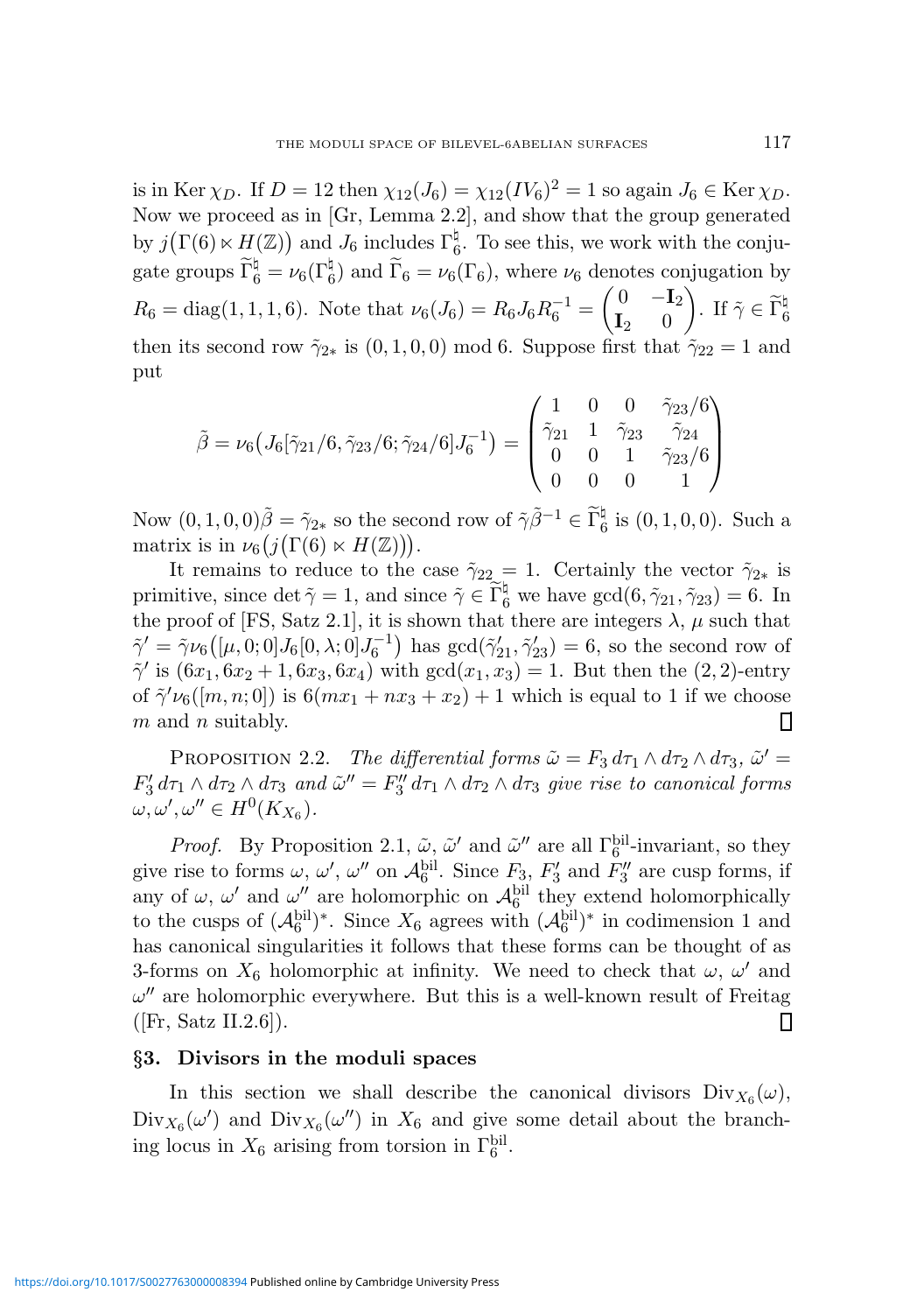is in Ker  $\chi_D$ . If  $D = 12$  then  $\chi_{12}(J_6) = \chi_{12}(IV_6)^2 = 1$  so again  $J_6 \in \text{Ker } \chi_D$ . Now we proceed as in [Gr, Lemma 2.2], and show that the group generated by  $j(\Gamma(6) \ltimes H(\mathbb{Z}))$  and  $J_6$  includes  $\Gamma_6^{\natural}$  $_{6}^{\mu}$ . To see this, we work with the conjugate groups  $\tilde{\Gamma}_6^{\natural} = \nu_6(\Gamma_6^{\natural})$  and  $\tilde{\Gamma}_6 = \nu_6(\Gamma_6)$ , where  $\nu_6$  denotes conjugation by  $R_6 = \text{diag}(1, 1, 1, 6)$ . Note that  $\nu_6(J_6) = R_6J_6R_6^{-1}$  $\begin{pmatrix} 0 & -\mathbf{I}_2 \end{pmatrix}$  $\mathbf{I}_2$  0 ). If  $\tilde{\gamma} \in \widetilde{\Gamma}_6^{\natural}$ then its second row  $\tilde{\gamma}_{2*}$  is  $(0, 1, 0, 0)$  mod 6. Suppose first that  $\tilde{\gamma}_{22} = 1$  and put

$$
\tilde{\beta} = \nu_6 \left( J_6[\tilde{\gamma}_{21}/6, \tilde{\gamma}_{23}/6; \tilde{\gamma}_{24}/6] J_6^{-1} \right) = \begin{pmatrix} 1 & 0 & 0 & \tilde{\gamma}_{23}/6 \\ \tilde{\gamma}_{21} & 1 & \tilde{\gamma}_{23} & \tilde{\gamma}_{24} \\ 0 & 0 & 1 & \tilde{\gamma}_{23}/6 \\ 0 & 0 & 0 & 1 \end{pmatrix}
$$

Now  $(0, 1, 0, 0)$  $\tilde{\beta} = \tilde{\gamma}_{2*}$  so the second row of  $\tilde{\gamma}\tilde{\beta}^{-1} \in \tilde{\Gamma}_6^{\natural}$  is  $(0, 1, 0, 0)$ . Such a matrix is in  $\nu_6(j(\Gamma(6) \ltimes H(\mathbb{Z})))$ .

It remains to reduce to the case  $\tilde{\gamma}_{22} = 1$ . Certainly the vector  $\tilde{\gamma}_{2*}$  is primitive, since det  $\tilde{\gamma} = 1$ , and since  $\tilde{\gamma} \in \tilde{\Gamma}_6^{\natural}$  we have  $gcd(6, \tilde{\gamma}_{21}, \tilde{\gamma}_{23}) = 6$ . In the proof of [FS, Satz 2.1], it is shown that there are integers  $\lambda$ ,  $\mu$  such that  $\tilde{\gamma}' = \tilde{\gamma} \nu_6([\mu, 0; 0] J_6[0, \lambda; 0] J_6^{-1})$  has  $gcd(\tilde{\gamma}'_{21}, \tilde{\gamma}'_{23}) = 6$ , so the second row of  $\tilde{\gamma}'$  is  $(6x_1, 6x_2 + 1, 6x_3, 6x_4)$  with  $gcd(x_1, x_3) = 1$ . But then the  $(2, 2)$ -entry of  $\tilde{\gamma}'\nu_6([m,n;0])$  is  $6(mx_1 + nx_3 + x_2) + 1$  which is equal to 1 if we choose  $m$  and  $n$  suitably. Ш

PROPOSITION 2.2. The differential forms  $\tilde{\omega} = F_3 d\tau_1 \wedge d\tau_2 \wedge d\tau_3$ ,  $\tilde{\omega}' =$  $F_3'$  $\tilde{\omega}'$  d $\tau_1 \wedge d\tau_2 \wedge d\tau_3$  and  $\tilde{\omega}'' = F_3''$  $\frac{3}{3}$  d $\tau_1 \wedge d\tau_2 \wedge d\tau_3$  give rise to canonical forms  $\omega, \omega', \omega'' \in H^0(K_{X_6}).$ 

*Proof.* By Proposition 2.1,  $\tilde{\omega}$ ,  $\tilde{\omega}'$  and  $\tilde{\omega}''$  are all  $\Gamma_6^{\text{bil}}$ -invariant, so they give rise to forms  $\omega, \omega', \omega''$  on  $\mathcal{A}_6^{\text{bil}}$ . Since  $F_3, F'_3$  $F_3'$  and  $F_3''$  $y_3''$  are cusp forms, if any of  $\omega$ ,  $\omega'$  and  $\omega''$  are holomorphic on  $\mathcal{A}_6^{\text{bil}}$  they extend holomorphically to the cusps of  $({\cal A}_6^{\text{bil}})^*$ . Since  $X_6$  agrees with  $({\cal A}_6^{\text{bil}})^*$  in codimension 1 and has canonical singularities it follows that these forms can be thought of as 3-forms on  $X_6$  holomorphic at infinity. We need to check that  $\omega$ ,  $\omega'$  and  $\omega''$  are holomorphic everywhere. But this is a well-known result of Freitag Π  $([Fr, Satz II.2.6]).$ 

# §3. Divisors in the moduli spaces

In this section we shall describe the canonical divisors  $Div_{X_6}(\omega)$ ,  $Div_{X_6}(\omega')$  and  $Div_{X_6}(\omega'')$  in  $X_6$  and give some detail about the branching locus in  $X_6$  arising from torsion in  $\Gamma_6^{\text{bil}}$ .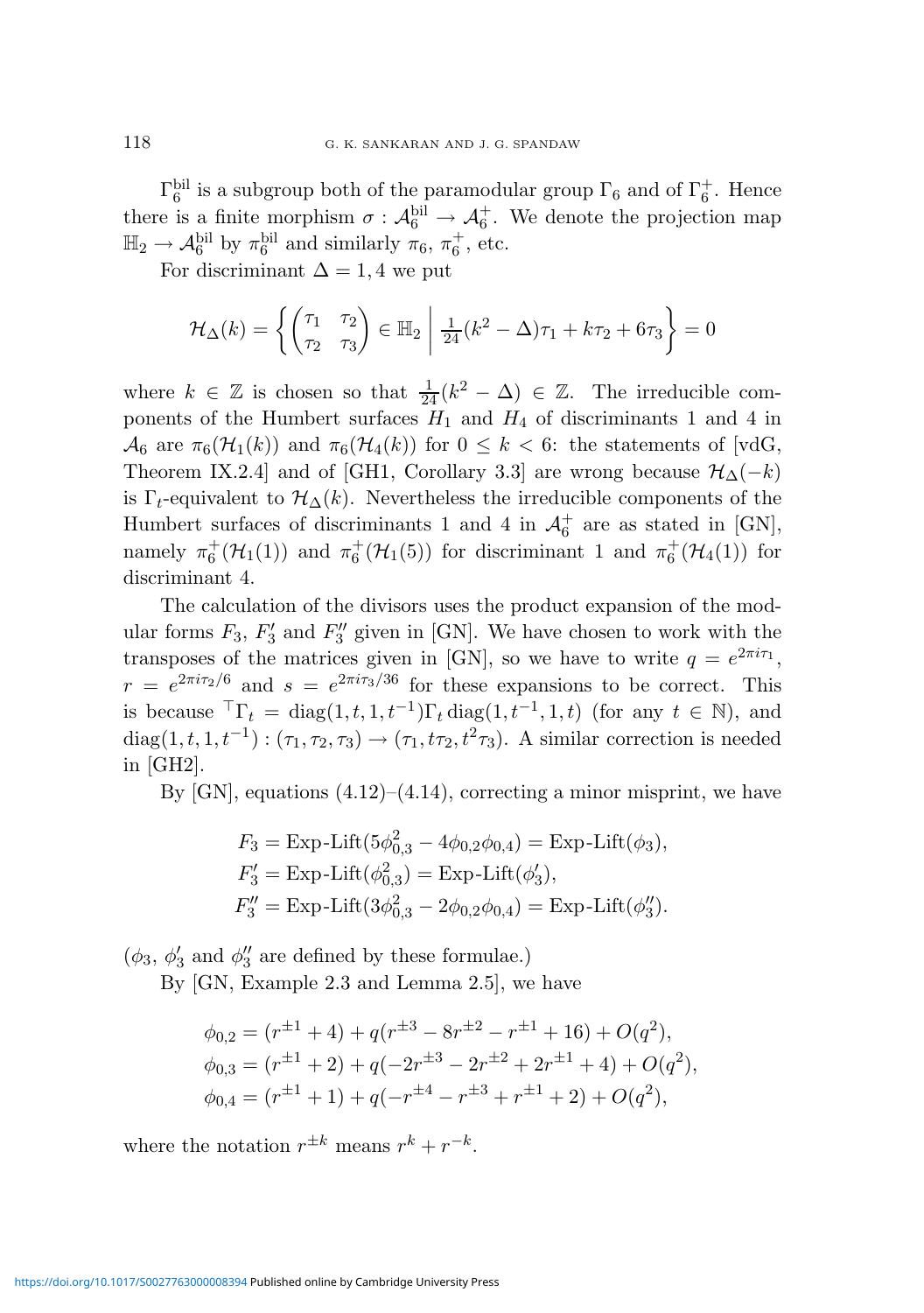$\Gamma_6^{\text{bil}}$  is a subgroup both of the paramodular group  $\Gamma_6$  and of  $\Gamma_6^+$ . Hence there is a finite morphism  $\sigma : \mathcal{A}_6^{\text{bil}} \to \mathcal{A}_6^+$ . We denote the projection map  $\mathbb{H}_2 \to \mathcal{A}_6^{\text{bil}}$  by  $\pi_6^{\text{bil}}$  and similarly  $\pi_6$ ,  $\pi_6^+$ , etc.

For discriminant  $\Delta = 1, 4$  we put

$$
\mathcal{H}_{\Delta}(k) = \left\{ \begin{pmatrix} \tau_1 & \tau_2 \\ \tau_2 & \tau_3 \end{pmatrix} \in \mathbb{H}_2 \; \middle| \; \frac{1}{24} (k^2 - \Delta) \tau_1 + k \tau_2 + 6 \tau_3 \right\} = 0
$$

where  $k \in \mathbb{Z}$  is chosen so that  $\frac{1}{24}(k^2 - \Delta) \in \mathbb{Z}$ . The irreducible components of the Humbert surfaces  $H_1$  and  $H_4$  of discriminants 1 and 4 in  $\mathcal{A}_6$  are  $\pi_6(\mathcal{H}_1(k))$  and  $\pi_6(\mathcal{H}_4(k))$  for  $0 \leq k < 6$ : the statements of [vdG, Theorem IX.2.4] and of [GH1, Corollary 3.3] are wrong because  $\mathcal{H}_{\Delta}(-k)$ is  $\Gamma_t$ -equivalent to  $\mathcal{H}_{\Delta}(k)$ . Nevertheless the irreducible components of the Humbert surfaces of discriminants 1 and 4 in  $\mathcal{A}_6^+$  are as stated in [GN], namely  $\pi_6^+(\mathcal{H}_1(1))$  and  $\pi_6^+(\mathcal{H}_1(5))$  for discriminant 1 and  $\pi_6^+(\mathcal{H}_4(1))$  for discriminant 4.

The calculation of the divisors uses the product expansion of the modular forms  $F_3, F'_3$  $F_3'$  and  $F_3''$  $y_3''$  given in [GN]. We have chosen to work with the transposes of the matrices given in [GN], so we have to write  $q = e^{2\pi i \tau_1}$ ,  $r = e^{2\pi i \tau_2/6}$  and  $s = e^{2\pi i \tau_3/36}$  for these expansions to be correct. This is because  ${}^{\top}\Gamma_t = \text{diag}(1, t, 1, t^{-1})\Gamma_t \text{diag}(1, t^{-1}, 1, t)$  (for any  $t \in \mathbb{N}$ ), and diag(1, t, 1, t<sup>-1</sup>) :  $(\tau_1, \tau_2, \tau_3) \to (\tau_1, t\tau_2, t^2\tau_3)$ . A similar correction is needed in [GH2].

By  $[GN]$ , equations  $(4.12)–(4.14)$ , correcting a minor misprint, we have

$$
F_3 = \text{Exp-Lift}(5\phi_{0,3}^2 - 4\phi_{0,2}\phi_{0,4}) = \text{Exp-Lift}(\phi_3),
$$
  
\n
$$
F_3' = \text{Exp-Lift}(\phi_{0,3}^2) = \text{Exp-Lift}(\phi_3'),
$$
  
\n
$$
F_3'' = \text{Exp-Lift}(3\phi_{0,3}^2 - 2\phi_{0,2}\phi_{0,4}) = \text{Exp-Lift}(\phi_3'').
$$

 $(\phi_3, \, \phi'_3)$  $y'_3$  and  $\phi''_3$  $\frac{y}{3}$  are defined by these formulae.)

By [GN, Example 2.3 and Lemma 2.5], we have

$$
\phi_{0,2} = (r^{\pm 1} + 4) + q(r^{\pm 3} - 8r^{\pm 2} - r^{\pm 1} + 16) + O(q^2),
$$
  
\n
$$
\phi_{0,3} = (r^{\pm 1} + 2) + q(-2r^{\pm 3} - 2r^{\pm 2} + 2r^{\pm 1} + 4) + O(q^2),
$$
  
\n
$$
\phi_{0,4} = (r^{\pm 1} + 1) + q(-r^{\pm 4} - r^{\pm 3} + r^{\pm 1} + 2) + O(q^2),
$$

where the notation  $r^{\pm k}$  means  $r^k + r^{-k}$ .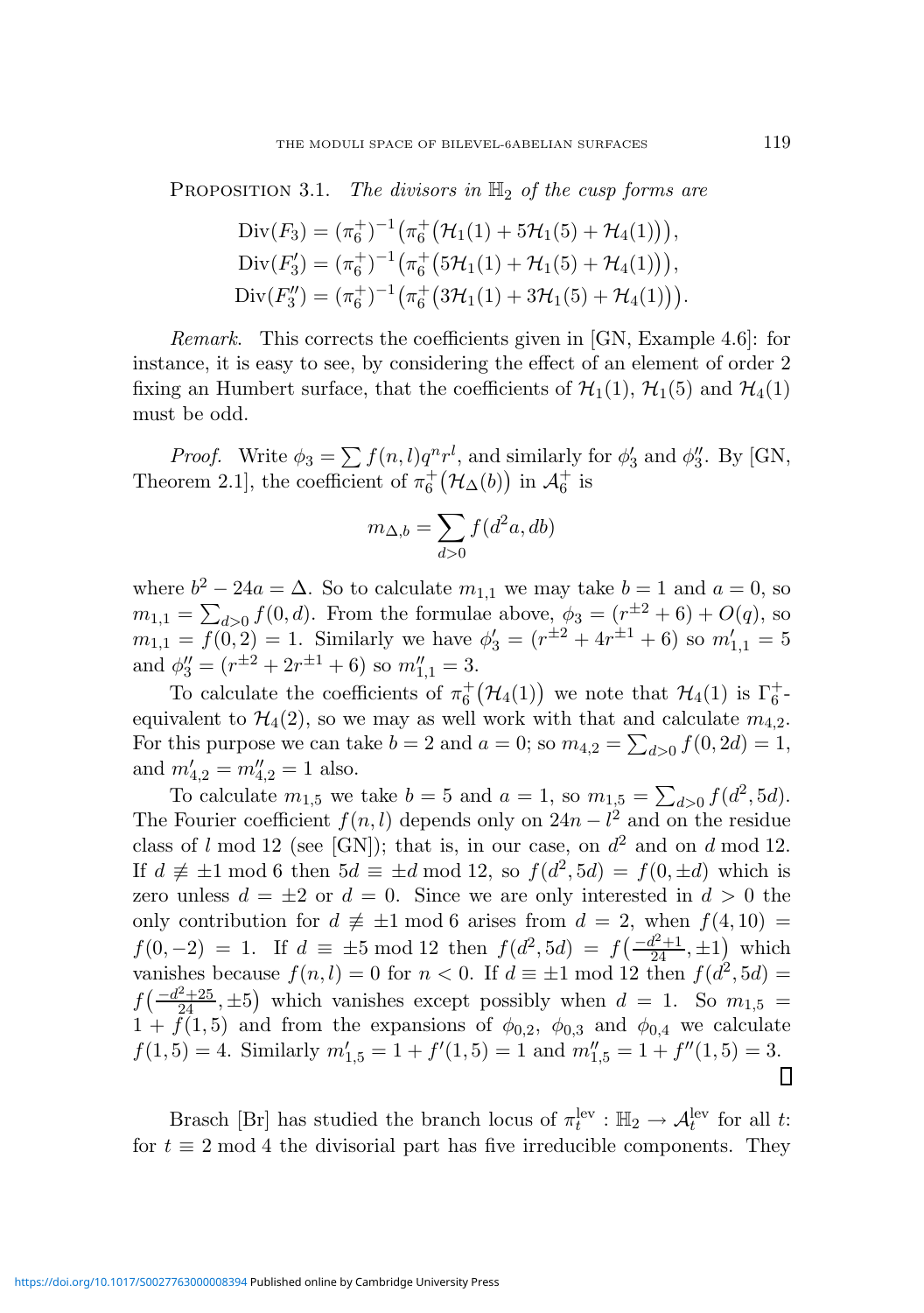PROPOSITION 3.1. The divisors in  $\mathbb{H}_2$  of the cusp forms are

Div(
$$
F_3
$$
) =  $(\pi_6^+)^{-1} (\pi_6^+ (\mathcal{H}_1(1) + 5\mathcal{H}_1(5) + \mathcal{H}_4(1))),$   
\nDiv( $F_3$ ) =  $(\pi_6^+)^{-1} (\pi_6^+ (5\mathcal{H}_1(1) + \mathcal{H}_1(5) + \mathcal{H}_4(1))),$   
\nDiv( $F_3$ ) =  $(\pi_6^+)^{-1} (\pi_6^+ (3\mathcal{H}_1(1) + 3\mathcal{H}_1(5) + \mathcal{H}_4(1))).$ 

Remark. This corrects the coefficients given in [GN, Example 4.6]: for instance, it is easy to see, by considering the effect of an element of order 2 fixing an Humbert surface, that the coefficients of  $\mathcal{H}_1(1)$ ,  $\mathcal{H}_1(5)$  and  $\mathcal{H}_4(1)$ must be odd.

*Proof.* Write  $\phi_3 = \sum f(n, l)q^n r^l$ , and similarly for  $\phi_3^l$  $y'_3$  and  $\phi''_3$  $_{3}^{\prime\prime}$ . By [GN, Theorem 2.1], the coefficient of  $\pi_6^+(\mathcal{H}_\Delta(b))$  in  $\mathcal{A}_6^+$  is

$$
m_{\Delta,b} = \sum_{d>0} f(d^2a, db)
$$

where  $b^2 - 24a = \Delta$ . So to calculate  $m_{1,1}$  we may take  $b = 1$  and  $a = 0$ , so  $m_{1,1} = \sum_{d>0} f(0, d)$ . From the formulae above,  $\phi_3 = (r^{\pm 2} + 6) + O(q)$ , so  $m_{1,1} = f(0,2) = 1$ . Similarly we have  $\phi'_3 = (r^{\pm 2} + 4r^{\pm 1} + 6)$  so  $m'_{1,1} = 5$ and  $\phi_3'' = (r^{\pm 2} + 2r^{\pm 1} + 6)$  so  $m_{1,1}'' = 3$ .

To calculate the coefficients of  $\pi_6^+(\mathcal{H}_4(1))$  we note that  $\mathcal{H}_4(1)$  is  $\Gamma_6^+$ . equivalent to  $\mathcal{H}_4(2)$ , so we may as well work with that and calculate  $m_{4,2}$ . For this purpose we can take  $b = 2$  and  $a = 0$ ; so  $m_{4,2} = \sum_{d>0} f(0, 2d) = 1$ , and  $m'_{4,2} = m''_{4,2} = 1$  also.

To calculate  $m_{1,5}$  we take  $b = 5$  and  $a = 1$ , so  $m_{1,5} = \sum_{d>0} f(d^2, 5d)$ . The Fourier coefficient  $f(n, l)$  depends only on  $24n - l^2$  and on the residue class of l mod 12 (see [GN]); that is, in our case, on  $d^2$  and on d mod 12. If  $d \not\equiv \pm 1 \mod 6$  then  $5d \equiv \pm d \mod 12$ , so  $f(d^2, 5d) = f(0, \pm d)$  which is zero unless  $d = \pm 2$  or  $d = 0$ . Since we are only interested in  $d > 0$  the only contribution for  $d \neq \pm 1 \mod 6$  arises from  $d = 2$ , when  $f(4, 10) =$  $f(0,-2) = 1$ . If  $d \equiv \pm 5 \mod 12$  then  $f(d^2, 5d) = f(\frac{-d^2+1}{24}, \pm 1)$  which vanishes because  $f(n, l) = 0$  for  $n < 0$ . If  $d \equiv \pm 1 \mod 12$  then  $f(d^2, 5d) =$  $f\left(-\frac{d^2+25}{24}, \pm 5\right)$  which vanishes except possibly when  $d = 1$ . So  $m_{1,5} =$  $1 + \tilde{f}(1, 5)$  and from the expansions of  $\phi_{0,2}$ ,  $\phi_{0,3}$  and  $\phi_{0,4}$  we calculate  $f(1,5) = 4$ . Similarly  $m'_{1,5} = 1 + f'(1,5) = 1$  and  $m''_{1,5} = 1 + f''(1,5) = 3$ . П

Brasch [Br] has studied the branch locus of  $\pi_t^{\text{lev}} : \mathbb{H}_2 \to \mathcal{A}_t^{\text{lev}}$  for all t: for  $t \equiv 2 \mod 4$  the divisorial part has five irreducible components. They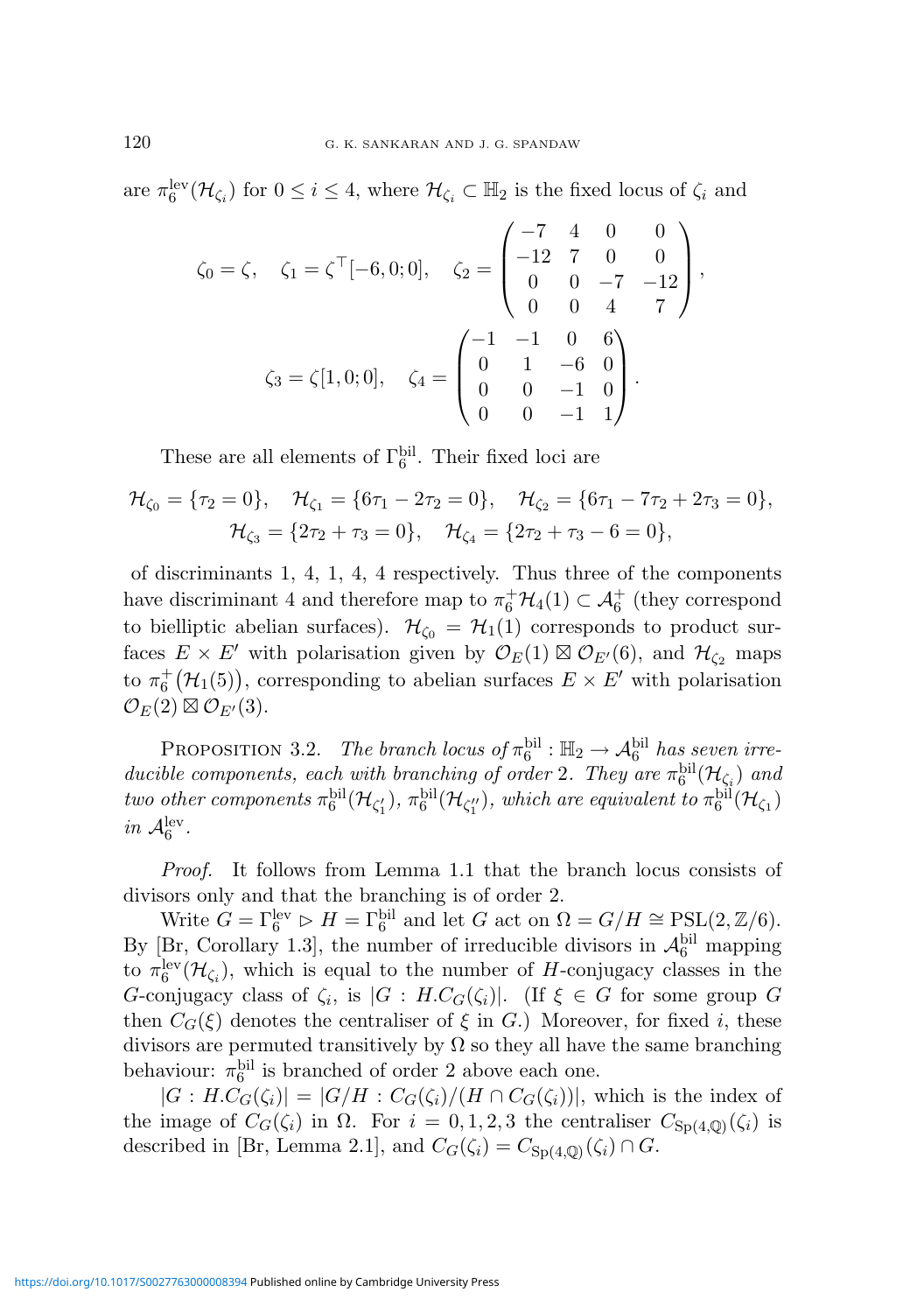are  $\pi_6^{\text{lev}}(\mathcal{H}_{\zeta_i})$  for  $0 \leq i \leq 4$ , where  $\mathcal{H}_{\zeta_i} \subset \mathbb{H}_2$  is the fixed locus of  $\zeta_i$  and

$$
\zeta_0 = \zeta, \quad \zeta_1 = \zeta^\top [-6, 0; 0], \quad \zeta_2 = \begin{pmatrix} -7 & 4 & 0 & 0 \\ -12 & 7 & 0 & 0 \\ 0 & 0 & -7 & -12 \\ 0 & 0 & 4 & 7 \end{pmatrix},
$$

$$
\zeta_3 = \zeta [1, 0; 0], \quad \zeta_4 = \begin{pmatrix} -1 & -1 & 0 & 6 \\ 0 & 1 & -6 & 0 \\ 0 & 0 & -1 & 0 \\ 0 & 0 & -1 & 1 \end{pmatrix}.
$$

These are all elements of  $\Gamma_6^{\text{bil}}$ . Their fixed loci are

$$
\mathcal{H}_{\zeta_0} = \{\tau_2 = 0\}, \quad \mathcal{H}_{\zeta_1} = \{6\tau_1 - 2\tau_2 = 0\}, \quad \mathcal{H}_{\zeta_2} = \{6\tau_1 - 7\tau_2 + 2\tau_3 = 0\}, \mathcal{H}_{\zeta_3} = \{2\tau_2 + \tau_3 = 0\}, \quad \mathcal{H}_{\zeta_4} = \{2\tau_2 + \tau_3 - 6 = 0\},
$$

of discriminants 1, 4, 1, 4, 4 respectively. Thus three of the components have discriminant 4 and therefore map to  $\pi_6^+ \mathcal{H}_4(1) \subset \mathcal{A}_6^+$  (they correspond to bielliptic abelian surfaces).  $\mathcal{H}_{\zeta_0} = \mathcal{H}_1(1)$  corresponds to product surfaces  $E \times E'$  with polarisation given by  $\mathcal{O}_E(1) \boxtimes \mathcal{O}_{E'}(6)$ , and  $\mathcal{H}_{\zeta_2}$  maps to  $\pi_6^+(\mathcal{H}_1(5))$ , corresponding to abelian surfaces  $E \times E'$  with polarisation  $\mathcal{O}_E(2) \boxtimes \mathcal{O}_{E'}(3)$ .

**PROPOSITION** 3.2. The branch locus of  $\pi_6^{\text{bil}}$ :  $\mathbb{H}_2 \to \mathcal{A}_6^{\text{bil}}$  has seven irreducible components, each with branching of order 2. They are  $\pi_6^{\text{bil}}(\mathcal{H}_{\zeta_i})$  and two other components  $\pi_6^{\text{bil}}(\mathcal{H}_{\zeta_1'})$ ,  $\pi_6^{\text{bil}}(\mathcal{H}_{\zeta_1''})$ , which are equivalent to  $\pi_6^{\text{bil}}(\mathcal{H}_{\zeta_1})$ in  $\mathcal{A}_6^{\text{lev}}$ .

Proof. It follows from Lemma 1.1 that the branch locus consists of divisors only and that the branching is of order 2.

Write  $G = \Gamma_6^{\text{lev}} \triangleright H = \Gamma_6^{\text{bil}}$  and let G act on  $\Omega = G/H \cong \text{PSL}(2, \mathbb{Z}/6)$ . By [Br, Corollary 1.3], the number of irreducible divisors in  $\mathcal{A}_6^{\text{bil}}$  mapping to  $\pi_6^{\text{lev}}(\mathcal{H}_{\zeta_i})$ , which is equal to the number of H-conjugacy classes in the G-conjugacy class of  $\zeta_i$ , is  $|G : H.C_G(\zeta_i)|$ . (If  $\xi \in G$  for some group G then  $C_G(\xi)$  denotes the centraliser of  $\xi$  in G.) Moreover, for fixed i, these divisors are permuted transitively by  $\Omega$  so they all have the same branching behaviour:  $\pi_6^{\text{bil}}$  is branched of order 2 above each one.

 $|G : H.C_G(\zeta_i)| = |G/H : C_G(\zeta_i)/(H \cap C_G(\zeta_i))|$ , which is the index of the image of  $C_G(\zeta_i)$  in  $\Omega$ . For  $i = 0, 1, 2, 3$  the centraliser  $C_{Sp(4,\mathbb{Q})}(\zeta_i)$  is described in [Br, Lemma 2.1], and  $C_G(\zeta_i) = C_{\text{Sp}(4,\mathbb{Q})}(\zeta_i) \cap G$ .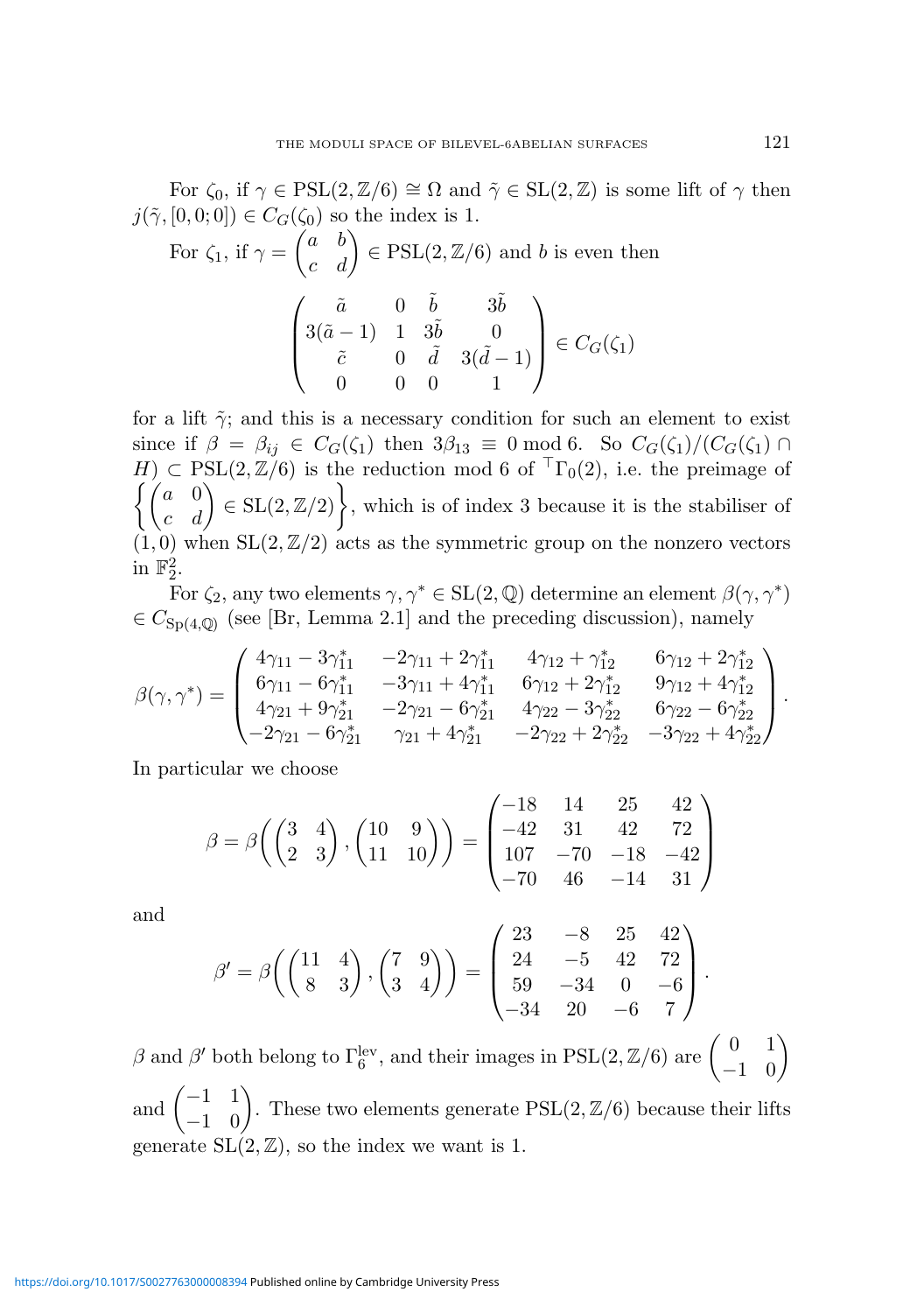For  $\zeta_0$ , if  $\gamma \in \text{PSL}(2,\mathbb{Z}/6) \cong \Omega$  and  $\tilde{\gamma} \in \text{SL}(2,\mathbb{Z})$  is some lift of  $\gamma$  then  $j(\tilde{\gamma}, [0, 0; 0]) \in C_G(\zeta_0)$  so the index is 1.

For 
$$
\zeta_1
$$
, if  $\gamma = \begin{pmatrix} a & b \\ c & d \end{pmatrix} \in \text{PSL}(2, \mathbb{Z}/6)$  and *b* is even then  

$$
\begin{pmatrix} \tilde{a} & 0 & \tilde{b} & 3\tilde{b} \\ 3(\tilde{a}-1) & 1 & 3\tilde{b} & 0 \\ \tilde{c} & 0 & \tilde{d} & 3(\tilde{d}-1) \\ 0 & 0 & 0 & 1 \end{pmatrix} \in C_G(\zeta_1)
$$

for a lift  $\tilde{\gamma}$ ; and this is a necessary condition for such an element to exist since if  $\beta = \beta_{ij} \in C_G(\zeta_1)$  then  $3\beta_{13} \equiv 0 \mod 6$ . So  $C_G(\zeta_1)/(C_G(\zeta_1) \cap$  $H) \subset \text{PSL}(2,\mathbb{Z}/6)$  is the reduction mod 6 of  ${}^{T}\Gamma_{0}(2)$ , i.e. the preimage of  $\int \hat{a} = 0$ c d  $\Big) \in SL(2, \mathbb{Z}/2)$ , which is of index 3 because it is the stabiliser of  $(1, 0)$  when  $SL(2, \mathbb{Z}/2)$  acts as the symmetric group on the nonzero vectors in  $\mathbb{F}_2^2$ .

For  $\zeta_2$ , any two elements  $\gamma, \gamma^* \in SL(2, \mathbb{Q})$  determine an element  $\beta(\gamma, \gamma^*)$  $\in C_{\text{Sp}(4,\mathbb{Q})}$  (see [Br, Lemma 2.1] and the preceding discussion), namely

$$
\beta(\gamma,\gamma^*)=\begin{pmatrix}4\gamma_{11}-3\gamma_{11}^* & -2\gamma_{11}+2\gamma_{11}^* & 4\gamma_{12}+\gamma_{12}^* & 6\gamma_{12}+2\gamma_{12}^* \\ 6\gamma_{11}-6\gamma_{11}^* & -3\gamma_{11}+4\gamma_{11}^* & 6\gamma_{12}+2\gamma_{12}^* & 9\gamma_{12}+4\gamma_{12}^* \\ 4\gamma_{21}+9\gamma_{21}^* & -2\gamma_{21}-6\gamma_{21}^* & 4\gamma_{22}-3\gamma_{22}^* & 6\gamma_{22}-6\gamma_{22}^* \\ -2\gamma_{21}-6\gamma_{21}^* & \gamma_{21}+4\gamma_{21}^* & -2\gamma_{22}+2\gamma_{22}^* & -3\gamma_{22}+4\gamma_{22}^* \end{pmatrix}.
$$

In particular we choose

$$
\beta = \beta \left( \begin{pmatrix} 3 & 4 \\ 2 & 3 \end{pmatrix}, \begin{pmatrix} 10 & 9 \\ 11 & 10 \end{pmatrix} \right) = \begin{pmatrix} -18 & 14 & 25 & 42 \\ -42 & 31 & 42 & 72 \\ 107 & -70 & -18 & -42 \\ -70 & 46 & -14 & 31 \end{pmatrix}
$$

and

$$
\beta' = \beta \left( \begin{pmatrix} 11 & 4 \\ 8 & 3 \end{pmatrix}, \begin{pmatrix} 7 & 9 \\ 3 & 4 \end{pmatrix} \right) = \begin{pmatrix} 23 & -8 & 25 & 42 \\ 24 & -5 & 42 & 72 \\ 59 & -34 & 0 & -6 \\ -34 & 20 & -6 & 7 \end{pmatrix}.
$$

β and β' both belong to  $\Gamma_6^{\text{lev}}$ , and their images in PSL(2, Z/6) are  $\begin{pmatrix} 0 & 1 \\ -1 & 0 \end{pmatrix}$ −1 0  $\overline{ }$ and  $\begin{pmatrix} -1 & 1 \\ 1 & 0 \end{pmatrix}$ −1 0  $\overline{ }$ . These two elements generate  $PSL(2,\mathbb{Z}/6)$  because their lifts generate  $SL(2, \mathbb{Z})$ , so the index we want is 1.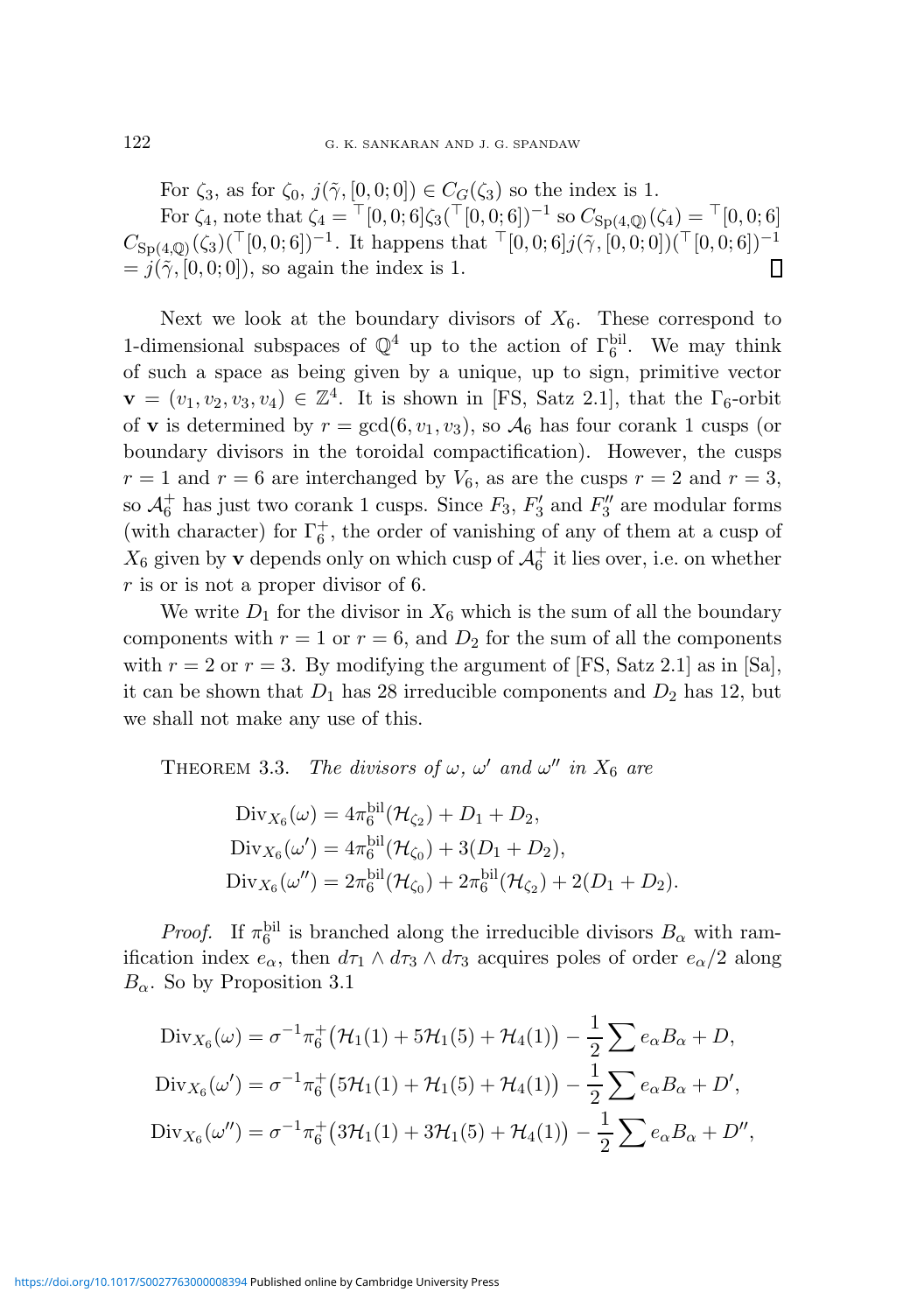For  $\zeta_3$ , as for  $\zeta_0$ ,  $j(\tilde{\gamma}, [0, 0; 0]) \in C_G(\zeta_3)$  so the index is 1. For  $\zeta_4$ , note that  $\zeta_4 = \lceil [0, 0; 6] \zeta_3(\lceil [0, 0; 6] \rceil)^{-1}$  so  $C_{\text{Sp}(4,\mathbb{Q})}(\zeta_4) = \lceil [0, 0; 6] \rceil$  $C_{\mathrm{Sp}(4,\mathbb{Q})}(\zeta_3)(\top[0,0;6])^{-1}$ . It happens that  $\top[0,0;6]j(\tilde{\gamma},[0,0;0])(\top[0,0;6])^{-1}$  $= j(\tilde{\gamma}, [0, 0; 0]),$  so again the index is 1.  $\mathsf{\Pi}$ 

Next we look at the boundary divisors of  $X_6$ . These correspond to 1-dimensional subspaces of  $\mathbb{Q}^4$  up to the action of  $\Gamma_6^{\text{bil}}$ . We may think of such a space as being given by a unique, up to sign, primitive vector  $\mathbf{v} = (v_1, v_2, v_3, v_4) \in \mathbb{Z}^4$ . It is shown in [FS, Satz 2.1], that the  $\Gamma_6$ -orbit of **v** is determined by  $r = \gcd(6, v_1, v_3)$ , so  $\mathcal{A}_6$  has four corank 1 cusps (or boundary divisors in the toroidal compactification). However, the cusps  $r = 1$  and  $r = 6$  are interchanged by  $V_6$ , as are the cusps  $r = 2$  and  $r = 3$ , so  $\mathcal{A}_6^+$  has just two corank 1 cusps. Since  $F_3,$   $F_3^\prime$  $T_3'$  and  $F_3''$  $\frac{3''}{3}$  are modular forms (with character) for  $\Gamma_6^+$ , the order of vanishing of any of them at a cusp of  $X_6$  given by **v** depends only on which cusp of  $\mathcal{A}_6^+$  it lies over, i.e. on whether r is or is not a proper divisor of 6.

We write  $D_1$  for the divisor in  $X_6$  which is the sum of all the boundary components with  $r = 1$  or  $r = 6$ , and  $D_2$  for the sum of all the components with  $r = 2$  or  $r = 3$ . By modifying the argument of [FS, Satz 2.1] as in [Sa], it can be shown that  $D_1$  has 28 irreducible components and  $D_2$  has 12, but we shall not make any use of this.

THEOREM 3.3. The divisors of  $\omega$ ,  $\omega'$  and  $\omega''$  in  $X_6$  are

Div<sub>X<sub>6</sub></sub>(
$$
\omega
$$
) =  $4\pi_6^{\text{bil}}(\mathcal{H}_{\zeta_2}) + D_1 + D_2$ ,  
\nDiv<sub>X<sub>6</sub></sub>( $\omega'$ ) =  $4\pi_6^{\text{bil}}(\mathcal{H}_{\zeta_0}) + 3(D_1 + D_2)$ ,  
\nDiv<sub>X<sub>6</sub></sub>( $\omega''$ ) =  $2\pi_6^{\text{bil}}(\mathcal{H}_{\zeta_0}) + 2\pi_6^{\text{bil}}(\mathcal{H}_{\zeta_2}) + 2(D_1 + D_2)$ .

*Proof.* If  $\pi_6^{\text{bil}}$  is branched along the irreducible divisors  $B_\alpha$  with ramification index  $e_{\alpha}$ , then  $d\tau_1 \wedge d\tau_3 \wedge d\tau_3$  acquires poles of order  $e_{\alpha}/2$  along  $B_{\alpha}$ . So by Proposition 3.1

$$
\text{Div}_{X_6}(\omega) = \sigma^{-1} \pi_6^+ \left( \mathcal{H}_1(1) + 5 \mathcal{H}_1(5) + \mathcal{H}_4(1) \right) - \frac{1}{2} \sum e_\alpha B_\alpha + D,
$$
  
\n
$$
\text{Div}_{X_6}(\omega') = \sigma^{-1} \pi_6^+ \left( 5 \mathcal{H}_1(1) + \mathcal{H}_1(5) + \mathcal{H}_4(1) \right) - \frac{1}{2} \sum e_\alpha B_\alpha + D',
$$
  
\n
$$
\text{Div}_{X_6}(\omega'') = \sigma^{-1} \pi_6^+ \left( 3 \mathcal{H}_1(1) + 3 \mathcal{H}_1(5) + \mathcal{H}_4(1) \right) - \frac{1}{2} \sum e_\alpha B_\alpha + D'',
$$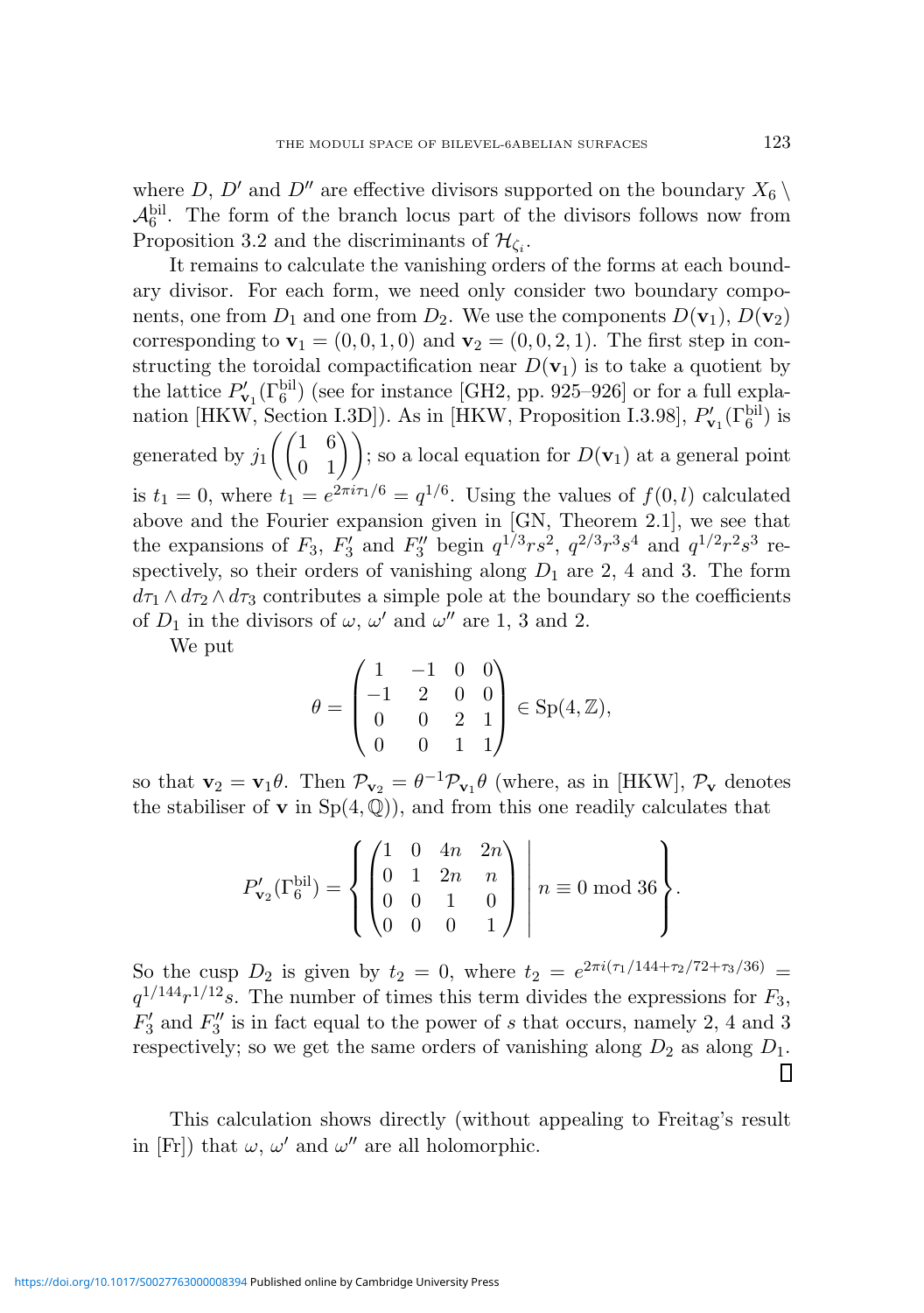where D, D' and D'' are effective divisors supported on the boundary  $X_6 \setminus$  $\mathcal{A}_6^{\text{bil}}$ . The form of the branch locus part of the divisors follows now from Proposition 3.2 and the discriminants of  $\mathcal{H}_{\zeta_i}$ .

It remains to calculate the vanishing orders of the forms at each boundary divisor. For each form, we need only consider two boundary components, one from  $D_1$  and one from  $D_2$ . We use the components  $D(\mathbf{v}_1)$ ,  $D(\mathbf{v}_2)$ corresponding to  $\mathbf{v}_1 = (0, 0, 1, 0)$  and  $\mathbf{v}_2 = (0, 0, 2, 1)$ . The first step in constructing the toroidal compactification near  $D(\mathbf{v}_1)$  is to take a quotient by the lattice  $P'_{\mathbf{v}_1}(\Gamma_6^{\text{bil}})$  (see for instance [GH2, pp. 925–926] or for a full explanation [HKW, Section I.3D]). As in [HKW, Proposition I.3.98],  $P'_{\mathbf{v}_1}(\Gamma_6^{\text{bil}})$  is generated by  $j_1 \begin{pmatrix} 1 & 6 \\ 0 & 1 \end{pmatrix}$  $\begin{pmatrix} 1 & 6 \\ 0 & 1 \end{pmatrix}$ ; so a local equation for  $D(\mathbf{v}_1)$  at a general point is  $t_1 = 0$ , where  $t_1 = e^{2\pi i \tau_1/6} = q^{1/6}$ . Using the values of  $f(0, l)$  calculated above and the Fourier expansion given in [GN, Theorem 2.1], we see that the expansions of  $F_3$ ,  $F'_3$  $S_3'$  and  $F_3''$  begin  $q^{1/3}rs^2$ ,  $q^{2/3}r^3s^4$  and  $q^{1/2}r^2s^3$  respectively, so their orders of vanishing along  $D_1$  are 2, 4 and 3. The form  $d\tau_1 \wedge d\tau_2 \wedge d\tau_3$  contributes a simple pole at the boundary so the coefficients of  $D_1$  in the divisors of  $\omega$ ,  $\omega'$  and  $\omega''$  are 1, 3 and 2.

We put

$$
\theta = \begin{pmatrix} 1 & -1 & 0 & 0 \\ -1 & 2 & 0 & 0 \\ 0 & 0 & 2 & 1 \\ 0 & 0 & 1 & 1 \end{pmatrix} \in \text{Sp}(4, \mathbb{Z}),
$$

so that  $\mathbf{v}_2 = \mathbf{v}_1 \theta$ . Then  $\mathcal{P}_{\mathbf{v}_2} = \theta^{-1} \mathcal{P}_{\mathbf{v}_1} \theta$  (where, as in [HKW],  $\mathcal{P}_{\mathbf{v}}$  denotes the stabiliser of **v** in  $Sp(4, \mathbb{Q})$ , and from this one readily calculates that

$$
P'_{\mathbf{v}_2}(\Gamma_6^{\text{bil}}) = \left\{ \begin{pmatrix} 1 & 0 & 4n & 2n \\ 0 & 1 & 2n & n \\ 0 & 0 & 1 & 0 \\ 0 & 0 & 0 & 1 \end{pmatrix} \middle| n \equiv 0 \mod 36 \right\}.
$$

So the cusp  $D_2$  is given by  $t_2 = 0$ , where  $t_2 = e^{2\pi i (\tau_1/144 + \tau_2/72 + \tau_3/36)}$  $q^{1/144}r^{1/12}s$ . The number of times this term divides the expressions for  $F_3$ ,  $\overset{-}{F_3'}$  $T_3'$  and  $F_3''$  $\frac{3}{3}$  is in fact equal to the power of s that occurs, namely 2, 4 and 3 respectively; so we get the same orders of vanishing along  $D_2$  as along  $D_1$ . ▯

This calculation shows directly (without appealing to Freitag's result in [Fr]) that  $\omega$ ,  $\omega'$  and  $\omega''$  are all holomorphic.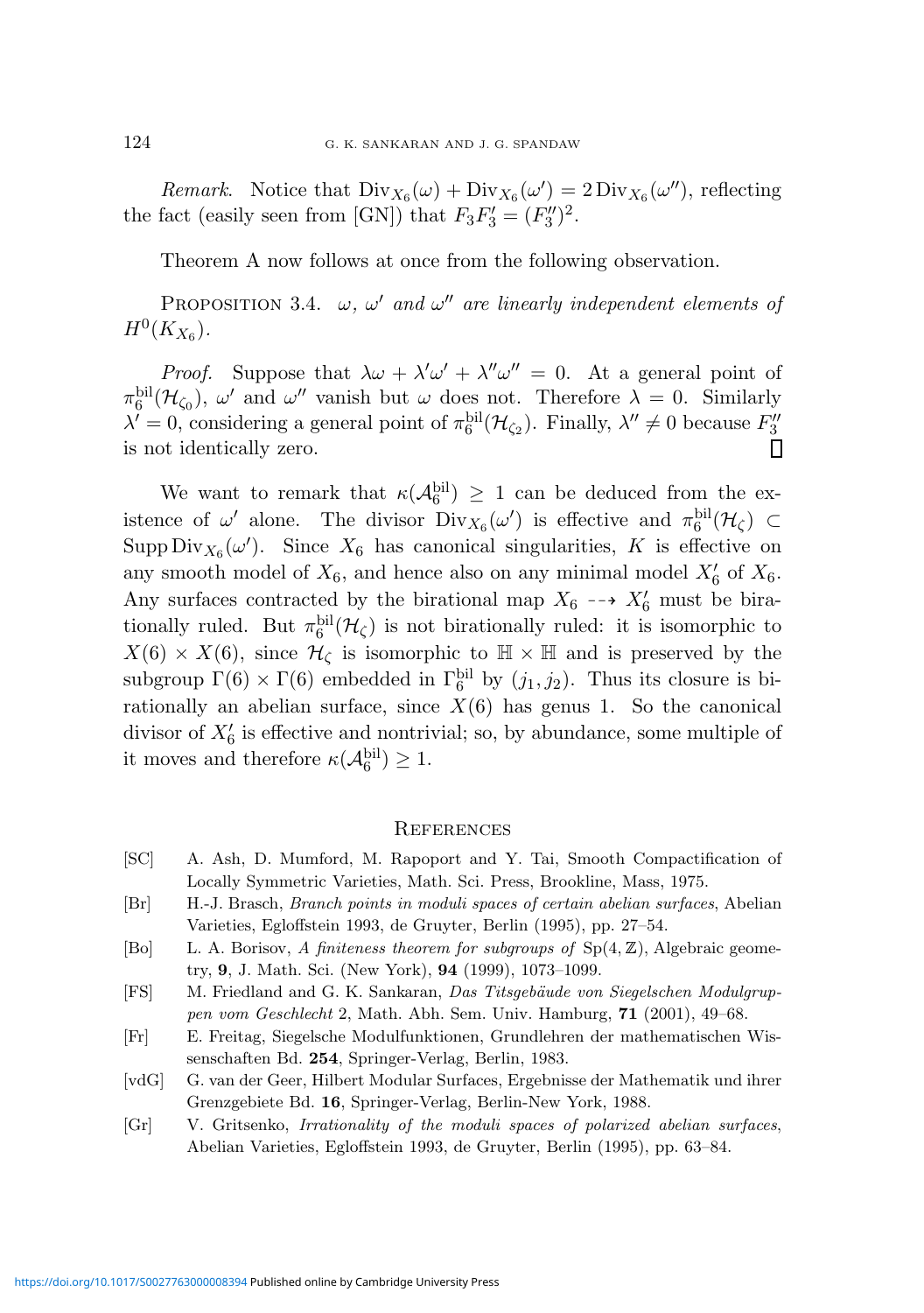Remark. Notice that  $Div_{X_6}(\omega) + Div_{X_6}(\omega') = 2 Div_{X_6}(\omega'')$ , reflecting the fact (easily seen from [GN]) that  $F_3F_3' = (F_3'')$  $\binom{3}{2}^2$ .

Theorem A now follows at once from the following observation.

PROPOSITION 3.4.  $\omega$ ,  $\omega'$  and  $\omega''$  are linearly independent elements of  $H^0(K_{X_6}).$ 

*Proof.* Suppose that  $\lambda \omega + \lambda' \omega' + \lambda'' \omega'' = 0$ . At a general point of  $\pi_6^{\text{bil}}(\mathcal{H}_{\zeta_0})$ ,  $\omega'$  and  $\omega''$  vanish but  $\omega$  does not. Therefore  $\lambda = 0$ . Similarly  $\lambda' = 0$ , considering a general point of  $\pi_6^{\text{bil}}(\mathcal{H}_{\zeta_2})$ . Finally,  $\lambda'' \neq 0$  because  $F_3''$ 3 is not identically zero.

We want to remark that  $\kappa(\mathcal{A}_6^{\text{bil}}) \geq 1$  can be deduced from the existence of  $\omega'$  alone. The divisor  $Div_{X_6}(\omega')$  is effective and  $\pi_6^{\text{bil}}(\mathcal{H}_\zeta) \subset$ Supp  $\text{Div}_{X_6}(\omega')$ . Since  $X_6$  has canonical singularities, K is effective on any smooth model of  $X_6$ , and hence also on any minimal model  $X'_6$  of  $X_6$ . Any surfaces contracted by the birational map  $X_6 \dashrightarrow X'_6$  must be birationally ruled. But  $\pi_6^{\text{bil}}(\mathcal{H}_\zeta)$  is not birationally ruled: it is isomorphic to  $X(6) \times X(6)$ , since  $\mathcal{H}_{\zeta}$  is isomorphic to  $\mathbb{H} \times \mathbb{H}$  and is preserved by the subgroup  $\Gamma(6) \times \Gamma(6)$  embedded in  $\Gamma_6^{\text{bil}}$  by  $(j_1, j_2)$ . Thus its closure is birationally an abelian surface, since  $X(6)$  has genus 1. So the canonical divisor of  $X'_6$  is effective and nontrivial; so, by abundance, some multiple of it moves and therefore  $\kappa(\mathcal{A}_6^{\text{bil}}) \geq 1$ .

### **REFERENCES**

- [SC] A. Ash, D. Mumford, M. Rapoport and Y. Tai, Smooth Compactification of Locally Symmetric Varieties, Math. Sci. Press, Brookline, Mass, 1975.
- [Br] H.-J. Brasch, Branch points in moduli spaces of certain abelian surfaces, Abelian Varieties, Egloffstein 1993, de Gruyter, Berlin (1995), pp. 27–54.
- [Bo] L. A. Borisov, A finiteness theorem for subgroups of  $Sp(4, \mathbb{Z})$ , Algebraic geometry, 9, J. Math. Sci. (New York), 94 (1999), 1073–1099.
- [FS] M. Friedland and G. K. Sankaran, Das Titsgebäude von Siegelschen Modulgruppen vom Geschlecht 2, Math. Abh. Sem. Univ. Hamburg, 71 (2001), 49–68.
- [Fr] E. Freitag, Siegelsche Modulfunktionen, Grundlehren der mathematischen Wissenschaften Bd. 254, Springer-Verlag, Berlin, 1983.
- [vdG] G. van der Geer, Hilbert Modular Surfaces, Ergebnisse der Mathematik und ihrer Grenzgebiete Bd. 16, Springer-Verlag, Berlin-New York, 1988.
- [Gr] V. Gritsenko, Irrationality of the moduli spaces of polarized abelian surfaces, Abelian Varieties, Egloffstein 1993, de Gruyter, Berlin (1995), pp. 63–84.